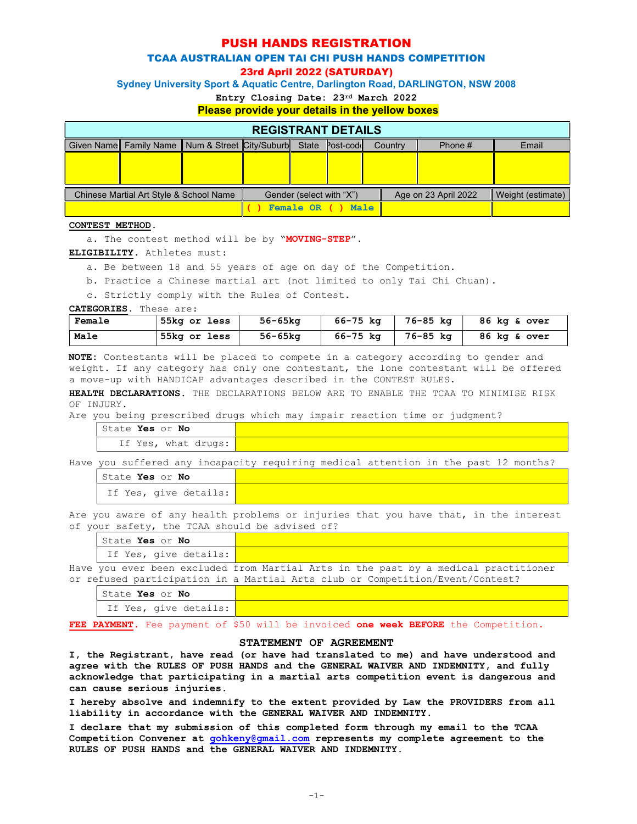## PUSH HANDS REGISTRATION

## TCAA AUSTRALIAN OPEN TAI CHI PUSH HANDS COMPETITION

23rd April 2022 (SATURDAY)

Sydney University Sport & Aquatic Centre, Darlington Road, DARLINGTON, NSW 2008

Entry Closing Date: 23rd March 2022

#### Please provide your details in the yellow boxes

| <b>REGISTRANT DETAILS</b>               |                                                       |  |                          |  |           |                      |         |                   |       |
|-----------------------------------------|-------------------------------------------------------|--|--------------------------|--|-----------|----------------------|---------|-------------------|-------|
|                                         | Given Name Family Name Num & Street City/Suburb State |  |                          |  | Post-codd |                      | Country | Phone $#$         | Email |
|                                         |                                                       |  |                          |  |           |                      |         |                   |       |
|                                         |                                                       |  |                          |  |           |                      |         |                   |       |
|                                         |                                                       |  |                          |  |           |                      |         |                   |       |
| Chinese Martial Art Style & School Name |                                                       |  | Gender (select with "X") |  |           | Age on 23 April 2022 |         | Weight (estimate) |       |
|                                         |                                                       |  | Female OR ( )<br>Male    |  |           |                      |         |                   |       |

#### CONTEST METHOD.

a. The contest method will be by "MOVING-STEP".

ELIGIBILITY. Athletes must:

- a. Be between 18 and 55 years of age on day of the Competition.
- b. Practice a Chinese martial art (not limited to only Tai Chi Chuan).

c. Strictly comply with the Rules of Contest.

CATEGORIES. These are:

| Female | 55kg or less | 56-65ka | $66 - 75$ kg | 76-85 kg | 86 kg & over |
|--------|--------------|---------|--------------|----------|--------------|
| Male   | 55kg or less | 56-65kg | $66 - 75$ kg | 76-85 kg | 86 kg & over |

NOTE: Contestants will be placed to compete in a category according to gender and weight. If any category has only one contestant, the lone contestant will be offered a move-up with HANDICAP advantages described in the CONTEST RULES.

HEALTH DECLARATIONS. THE DECLARATIONS BELOW ARE TO ENABLE THE TCAA TO MINIMISE RISK OF INJURY.

Are you being prescribed drugs which may impair reaction time or judgment?

State Yes or No If Yes, what drugs:

Have you suffered any incapacity requiring medical attention in the past 12 months?

| State <b>Yes</b> or <b>No</b> |  |
|-------------------------------|--|
| If Yes, give details:         |  |

Are you aware of any health problems or injuries that you have that, in the interest of your safety, the TCAA should be advised of?

| 'State Yes or No                   |                                                                                     |
|------------------------------------|-------------------------------------------------------------------------------------|
| If Yes, give details:              |                                                                                     |
|                                    | Have you ever been excluded from Martial Arts in the past by a medical practitioner |
|                                    | or refused participation in a Martial Arts club or Competition/Event/Contest?       |
| $\sim$ $\sim$ $\sim$ $\sim$ $\sim$ |                                                                                     |

#### State Yes or No

If Yes, give details:

FEE PAYMENT. Fee payment of \$50 will be invoiced one week BEFORE the Competition.

### STATEMENT OF AGREEMENT

I, the Registrant, have read (or have had translated to me) and have understood and agree with the RULES OF PUSH HANDS and the GENERAL WAIVER AND INDEMNITY, and fully acknowledge that participating in a martial arts competition event is dangerous and can cause serious injuries.

I hereby absolve and indemnify to the extent provided by Law the PROVIDERS from all liability in accordance with the GENERAL WAIVER AND INDEMNITY.

I declare that my submission of this completed form through my email to the TCAA Competition Convener at gohkeny@gmail.com represents my complete agreement to the RULES OF PUSH HANDS and the GENERAL WAIVER AND INDEMNITY.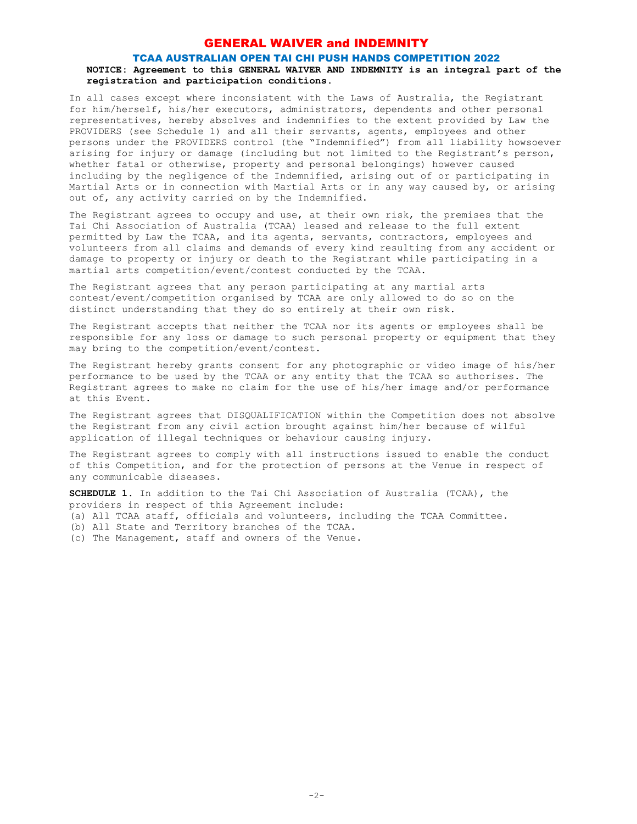## GENERAL WAIVER and INDEMNITY

### TCAA AUSTRALIAN OPEN TAI CHI PUSH HANDS COMPETITION 2022

### NOTICE: Agreement to this GENERAL WAIVER AND INDEMNITY is an integral part of the registration and participation conditions.

In all cases except where inconsistent with the Laws of Australia, the Registrant for him/herself, his/her executors, administrators, dependents and other personal representatives, hereby absolves and indemnifies to the extent provided by Law the PROVIDERS (see Schedule 1) and all their servants, agents, employees and other persons under the PROVIDERS control (the "Indemnified") from all liability howsoever arising for injury or damage (including but not limited to the Registrant's person, whether fatal or otherwise, property and personal belongings) however caused including by the negligence of the Indemnified, arising out of or participating in Martial Arts or in connection with Martial Arts or in any way caused by, or arising out of, any activity carried on by the Indemnified.

The Registrant agrees to occupy and use, at their own risk, the premises that the Tai Chi Association of Australia (TCAA) leased and release to the full extent permitted by Law the TCAA, and its agents, servants, contractors, employees and volunteers from all claims and demands of every kind resulting from any accident or damage to property or injury or death to the Registrant while participating in a martial arts competition/event/contest conducted by the TCAA.

The Registrant agrees that any person participating at any martial arts contest/event/competition organised by TCAA are only allowed to do so on the distinct understanding that they do so entirely at their own risk.

The Registrant accepts that neither the TCAA nor its agents or employees shall be responsible for any loss or damage to such personal property or equipment that they may bring to the competition/event/contest.

The Registrant hereby grants consent for any photographic or video image of his/her performance to be used by the TCAA or any entity that the TCAA so authorises. The Registrant agrees to make no claim for the use of his/her image and/or performance at this Event.

The Registrant agrees that DISQUALIFICATION within the Competition does not absolve the Registrant from any civil action brought against him/her because of wilful application of illegal techniques or behaviour causing injury.

The Registrant agrees to comply with all instructions issued to enable the conduct of this Competition, and for the protection of persons at the Venue in respect of any communicable diseases.

SCHEDULE 1. In addition to the Tai Chi Association of Australia (TCAA), the providers in respect of this Agreement include:

- (a) All TCAA staff, officials and volunteers, including the TCAA Committee.
- (b) All State and Territory branches of the TCAA.
- (c) The Management, staff and owners of the Venue.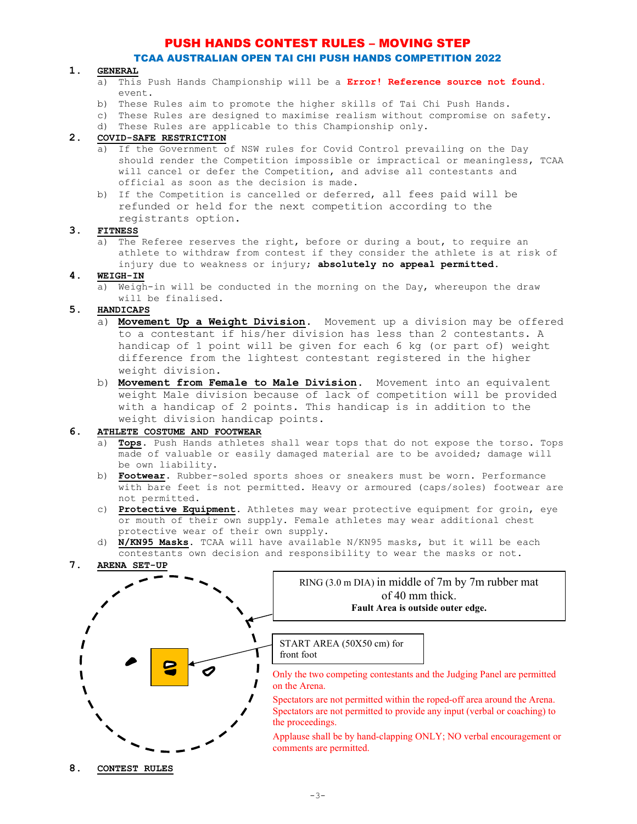## TCAA AUSTRALIAN OPEN TAI CHI PUSH HANDS COMPETITION 2022

#### 1. GENERAL

- a) This Push Hands Championship will be a *Error!* Reference source not found. event.
- b) These Rules aim to promote the higher skills of Tai Chi Push Hands.
- c) These Rules are designed to maximise realism without compromise on safety.
- d) These Rules are applicable to this Championship only.

## 2. COVID-SAFE RESTRICTION

- a) If the Government of NSW rules for Covid Control prevailing on the Day should render the Competition impossible or impractical or meaningless, TCAA will cancel or defer the Competition, and advise all contestants and official as soon as the decision is made.
- b) If the Competition is cancelled or deferred, all fees paid will be refunded or held for the next competition according to the registrants option.

### 3. FITNESS

a) The Referee reserves the right, before or during a bout, to require an athlete to withdraw from contest if they consider the athlete is at risk of injury due to weakness or injury; absolutely no appeal permitted.

### 4. WEIGH-IN

a) Weigh-in will be conducted in the morning on the Day, whereupon the draw will be finalised.

### 5. HANDICAPS

- a) Movement Up a Weight Division. Movement up a division may be offered to a contestant if his/her division has less than 2 contestants. A handicap of 1 point will be given for each 6 kg (or part of) weight difference from the lightest contestant registered in the higher weight division.
- b) Movement from Female to Male Division. Movement into an equivalent weight Male division because of lack of competition will be provided with a handicap of 2 points. This handicap is in addition to the weight division handicap points.

#### 6. ATHLETE COSTUME AND FOOTWEAR

- $\overline{a}$ ) **Tops.** Push Hands athletes shall wear tops that do not expose the torso. Tops made of valuable or easily damaged material are to be avoided; damage will be own liability.
- b) Footwear. Rubber-soled sports shoes or sneakers must be worn. Performance with bare feet is not permitted. Heavy or armoured (caps/soles) footwear are not permitted.
- c) Protective Equipment. Athletes may wear protective equipment for groin, eye or mouth of their own supply. Female athletes may wear additional chest protective wear of their own supply.
- d) N/KN95 Masks. TCAA will have available N/KN95 masks, but it will be each contestants own decision and responsibility to wear the masks or not.
- 7. ARENA SET-UP

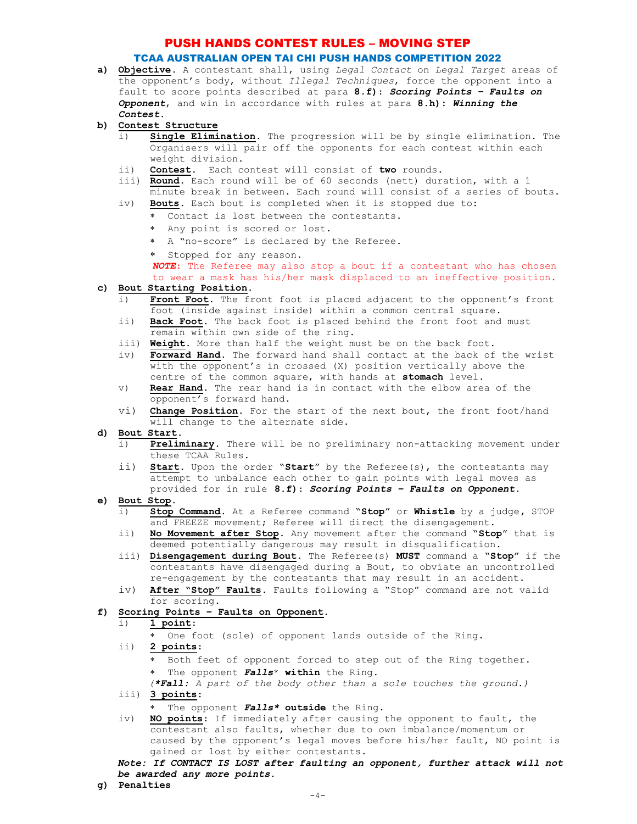### TCAA AUSTRALIAN OPEN TAI CHI PUSH HANDS COMPETITION 2022

- a) Objective. A contestant shall, using Legal Contact on Legal Target areas of the opponent's body, without Illegal Techniques, force the opponent into a fault to score points described at para 8.f): Scoring Points - Faults on Opponent, and win in accordance with rules at para 8.h): Winning the Contest.
- b) Contest Structure
	- Single Elimination. The progression will be by single elimination. The Organisers will pair off the opponents for each contest within each weight division.
	- ii) Contest. Each contest will consist of two rounds.
	- iii) Round. Each round will be of 60 seconds (nett) duration, with a 1 minute break in between. Each round will consist of a series of bouts.
	- iv) **Bouts.** Each bout is completed when it is stopped due to:
		- Contact is lost between the contestants.
		- Any point is scored or lost.
		- A "no-score" is declared by the Referee.
		- \* Stopped for any reason.

NOTE: The Referee may also stop a bout if a contestant who has chosen to wear a mask has his/her mask displaced to an ineffective position.

### c) Bout Starting Position.

- i) Front Foot. The front foot is placed adjacent to the opponent's front foot (inside against inside) within a common central square.
- ii) Back Foot. The back foot is placed behind the front foot and must remain within own side of the ring.
- iii) Weight. More than half the weight must be on the back foot.
- iv) Forward Hand. The forward hand shall contact at the back of the wrist with the opponent's in crossed (X) position vertically above the centre of the common square, with hands at stomach level.
- v) Rear Hand. The rear hand is in contact with the elbow area of the opponent's forward hand.
- vi) Change Position. For the start of the next bout, the front foot/hand will change to the alternate side.
- d) Bout Start.
	- i) Preliminary. There will be no preliminary non-attacking movement under these TCAA Rules.
	- ii) Start. Upon the order "Start" by the Referee(s), the contestants may attempt to unbalance each other to gain points with legal moves as provided for in rule 8.f): Scoring Points – Faults on Opponent.
- e) Bout Stop.<br> $\frac{3}{1}$  Stop.
	- Stop Command. At a Referee command "Stop" or Whistle by a judge, STOP and FREEZE movement; Referee will direct the disengagement.
	- ii) No Movement after Stop. Any movement after the command "Stop" that is deemed potentially dangerous may result in disqualification.
	- iii) Disengagement during Bout. The Referee(s) MUST command a "Stop" if the contestants have disengaged during a Bout, to obviate an uncontrolled re-engagement by the contestants that may result in an accident.
	- iv) After "Stop" Faults. Faults following a "Stop" command are not valid for scoring.

#### Scoring Points - Faults on Opponent.

### i) 1 point:

- One foot (sole) of opponent lands outside of the Ring.
- ii) 2 points:
	- Both feet of opponent forced to step out of the Ring together.
	- \* The opponent Falls<sup>\*</sup> within the Ring.
	- (\*Fall: A part of the body other than a sole touches the ground.)
- iii) 3 points:
	- \* The opponent Falls\* outside the Ring.
- iv) NO points: If immediately after causing the opponent to fault, the contestant also faults, whether due to own imbalance/momentum or caused by the opponent's legal moves before his/her fault, NO point is gained or lost by either contestants.

Note: If CONTACT IS LOST after faulting an opponent, further attack will not be awarded any more points.

g) Penalties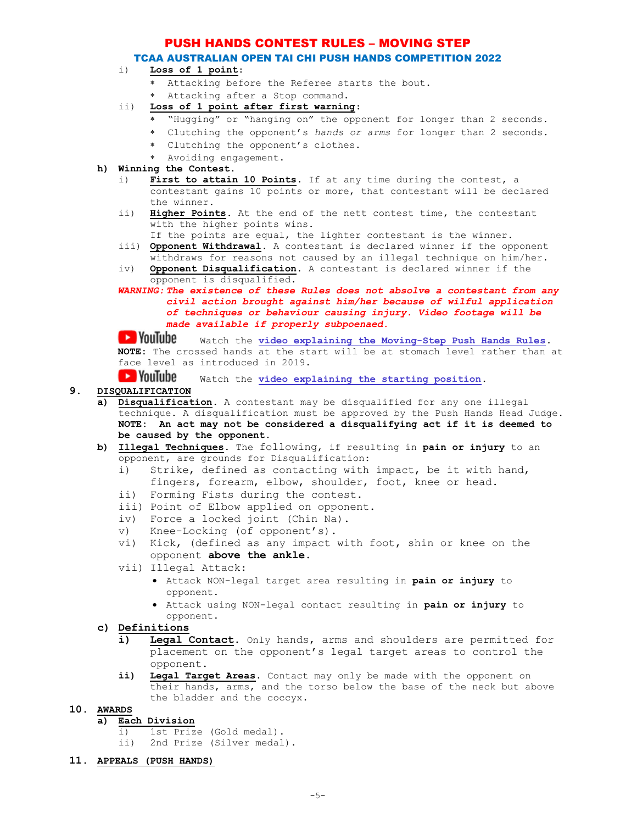## TCAA AUSTRALIAN OPEN TAI CHI PUSH HANDS COMPETITION 2022

## i) Loss of 1 point:

- Attacking before the Referee starts the bout.
- Attacking after a Stop command.
- ii) Loss of 1 point after first warning:
	- "Hugging" or "hanging on" the opponent for longer than 2 seconds.
	- Clutching the opponent's hands or arms for longer than 2 seconds.
	- Clutching the opponent's clothes.
	- Avoiding engagement.
- h) Winning the Contest.
	- i) First to attain 10 Points. If at any time during the contest, a contestant gains 10 points or more, that contestant will be declared the winner.
	- ii) Higher Points. At the end of the nett contest time, the contestant with the higher points wins.
		- If the points are equal, the lighter contestant is the winner.
	- iii) Opponent Withdrawal. A contestant is declared winner if the opponent withdraws for reasons not caused by an illegal technique on him/her.
	- iv) Opponent Disqualification. A contestant is declared winner if the opponent is disqualified.
	- WARNING: The existence of these Rules does not absolve a contestant from any civil action brought against him/her because of wilful application of techniques or behaviour causing injury. Video footage will be made available if properly subpoenaed.

**WOUTUDE** Watch the video explaining the Moving-Step Push Hands Rules. NOTE: The crossed hands at the start will be at stomach level rather than at face level as introduced in 2019.

**D** YouTube Watch the video explaining the starting position.

## 9. DISQUALIFICATION

- a) Disqualification. A contestant may be disqualified for any one illegal technique. A disqualification must be approved by the Push Hands Head Judge. NOTE: An act may not be considered a disqualifying act if it is deemed to be caused by the opponent.
- b) Illegal Techniques. The following, if resulting in pain or injury to an opponent, are grounds for Disqualification:
	- i) Strike, defined as contacting with impact, be it with hand, fingers, forearm, elbow, shoulder, foot, knee or head.
	- ii) Forming Fists during the contest.
	- iii) Point of Elbow applied on opponent.
	- iv) Force a locked joint (Chin Na).
	- v) Knee-Locking (of opponent's).
	- vi) Kick, (defined as any impact with foot, shin or knee on the opponent above the ankle.
	- vii) Illegal Attack:
		- Attack NON-legal target area resulting in pain or injury to opponent.
		- Attack using NON-legal contact resulting in pain or injury to opponent.

## c) Definitions

- i) Legal Contact. Only hands, arms and shoulders are permitted for placement on the opponent's legal target areas to control the opponent.
- ii) Legal Target Areas. Contact may only be made with the opponent on their hands, arms, and the torso below the base of the neck but above the bladder and the coccyx.

#### 10. AWARDS

- a) Each Division
	- i) 1st Prize (Gold medal).
	- ii) 2nd Prize (Silver medal).
- 11. APPEALS (PUSH HANDS)